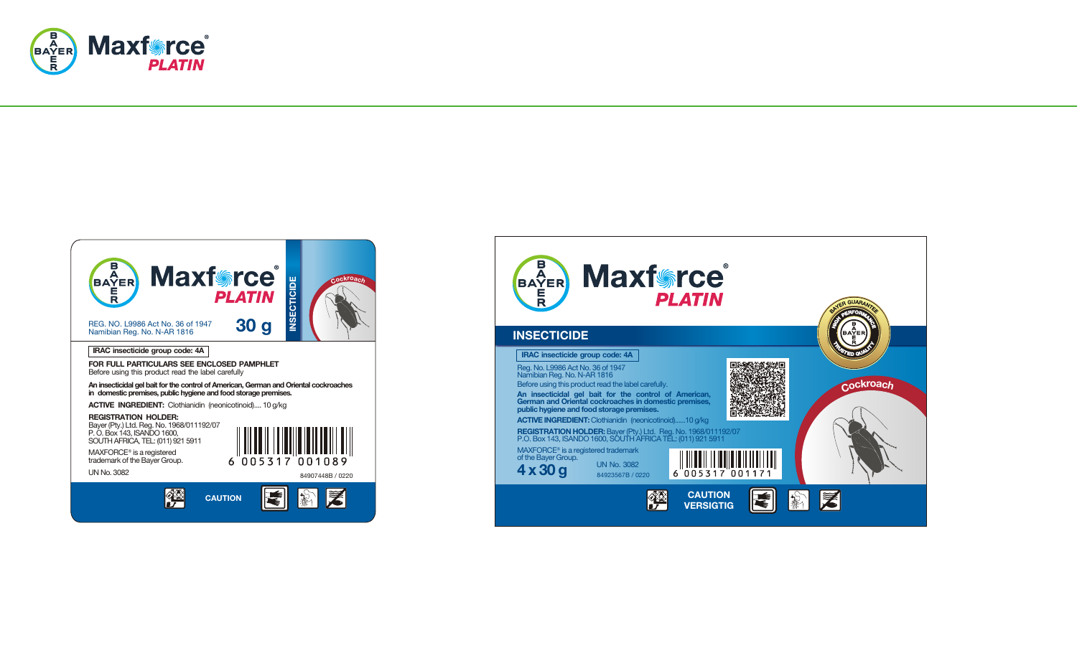



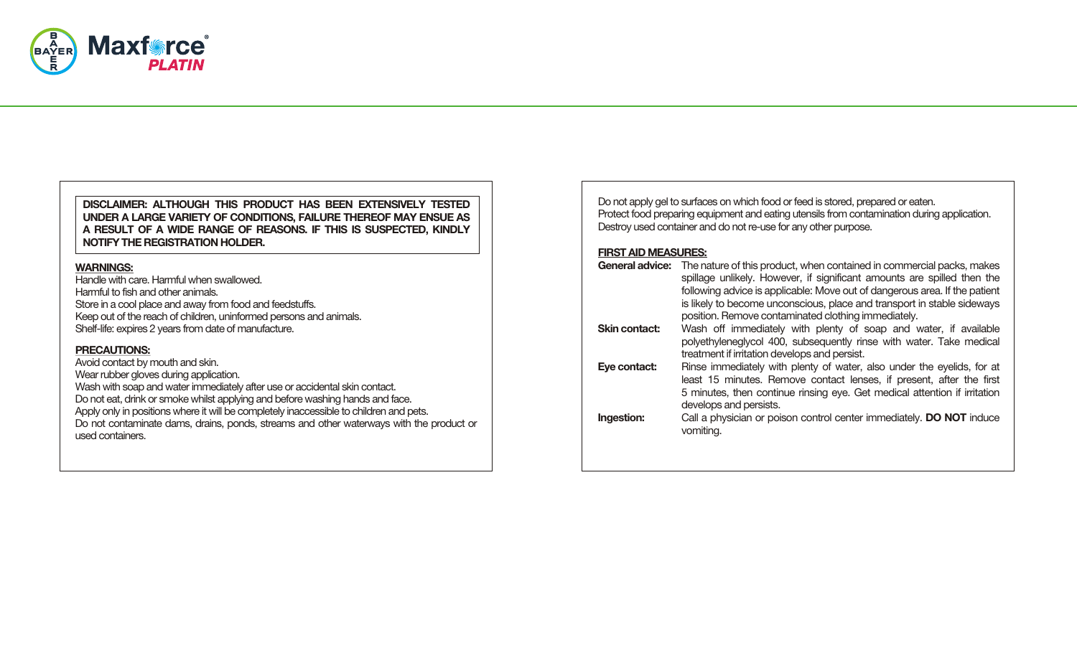

### **DISCLAIMER: ALTHOUGH THIS PRODUCT HAS BEEN EXTENSIVELY TESTED UNDER A LARGE VARIETY OF CONDITIONS, FAILURE THEREOF MAY ENSUE AS A RESULT OF A WIDE RANGE OF REASONS. IF THIS IS SUSPECTED, KINDLY NOTIFY THE REGISTRATION HOLDER.**

# **WARNINGS:**

Handle with care. Harmful when swallowed. Harmful to fish and other animals. Store in a cool place and away from food and feedstuffs. Keep out of the reach of children, uninformed persons and animals. Shelf-life: expires 2 years from date of manufacture.

# **PRECAUTIONS:**

Avoid contact by mouth and skin. Wear rubber gloves during application. Wash with soap and water immediately after use or accidental skin contact. Do not eat, drink or smoke whilst applying and before washing hands and face. Apply only in positions where it will be completely inaccessible to children and pets. Do not contaminate dams, drains, ponds, streams and other waterways with the product or used containers.

|                            | Do not apply gel to surfaces on which food or feed is stored, prepared or eaten.<br>Protect food preparing equipment and eating utensils from contamination during application.<br>Destroy used container and do not re-use for any other purpose.                                                                                                                               |
|----------------------------|----------------------------------------------------------------------------------------------------------------------------------------------------------------------------------------------------------------------------------------------------------------------------------------------------------------------------------------------------------------------------------|
| <b>FIRST AID MEASURES:</b> |                                                                                                                                                                                                                                                                                                                                                                                  |
|                            | General advice: The nature of this product, when contained in commercial packs, makes<br>spillage unlikely. However, if significant amounts are spilled then the<br>following advice is applicable: Move out of dangerous area. If the patient<br>is likely to become unconscious, place and transport in stable sideways<br>position. Remove contaminated clothing immediately. |
| Skin contact:              | Wash off immediately with plenty of soap and water, if available<br>polyethyleneglycol 400, subsequently rinse with water. Take medical<br>treatment if irritation develops and persist.                                                                                                                                                                                         |
| Eye contact:               | Rinse immediately with plenty of water, also under the eyelids, for at<br>least 15 minutes. Remove contact lenses, if present, after the first<br>5 minutes, then continue rinsing eye. Get medical attention if irritation<br>develops and persists.                                                                                                                            |
| Ingestion:                 | Call a physician or poison control center immediately. <b>DO NOT</b> induce<br>vomiting.                                                                                                                                                                                                                                                                                         |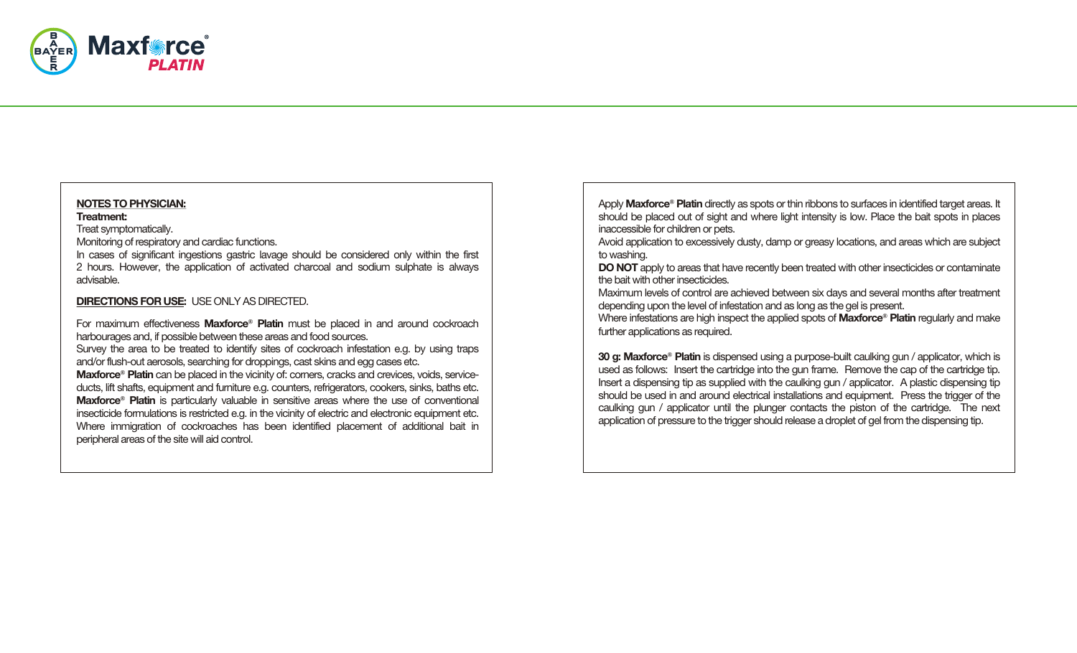

# **NOTES TO PHYSICIAN:**

#### **Treatment:**

Treat symptomatically.

Monitoring of respiratory and cardiac functions.

In cases of significant ingestions gastric lavage should be considered only within the first 2 hours. However, the application of activated charcoal and sodium sulphate is always advisable.

# **DIRECTIONS FOR USE:** USE ONLY AS DIRECTED.

For maximum effectiveness **Maxforce**® **Platin** must be placed in and around cockroach harbourages and, if possible between these areas and food sources.

Survey the area to be treated to identify sites of cockroach infestation e.g. by using traps and/or flush-out aerosols, searching for droppings, cast skins and egg cases etc.

**Maxforce**® **Platin** can be placed in the vicinity of: corners, cracks and crevices, voids, serviceducts, lift shafts, equipment and furniture e.g. counters, refrigerators, cookers, sinks, baths etc. **Maxforce**® **Platin** is particularly valuable in sensitive areas where the use of conventional insecticide formulations is restricted e.g. in the vicinity of electric and electronic equipment etc. Where immigration of cockroaches has been identified placement of additional bait in peripheral areas of the site will aid control.

Apply **Maxforce**® **Platin** directly as spots or thin ribbons to surfaces in identified target areas. It should be placed out of sight and where light intensity is low. Place the bait spots in places inaccessible for children or pets.

Avoid application to excessively dusty, damp or greasy locations, and areas which are subject to washing.

**DO NOT** apply to areas that have recently been treated with other insecticides or contaminate the bait with other insecticides.

Maximum levels of control are achieved between six days and several months after treatment depending upon the level of infestation and as long as the gel is present.

Where infestations are high inspect the applied spots of **Maxforce**® **Platin** regularly and make further applications as required.

**30 g: Maxforce**® **Platin** is dispensed using a purpose-built caulking gun / applicator, which is used as follows: Insert the cartridge into the gun frame. Remove the cap of the cartridge tip. Insert a dispensing tip as supplied with the caulking gun / applicator. A plastic dispensing tip should be used in and around electrical installations and equipment. Press the trigger of the caulking gun / applicator until the plunger contacts the piston of the cartridge. The next application of pressure to the trigger should release a droplet of gel from the dispensing tip.